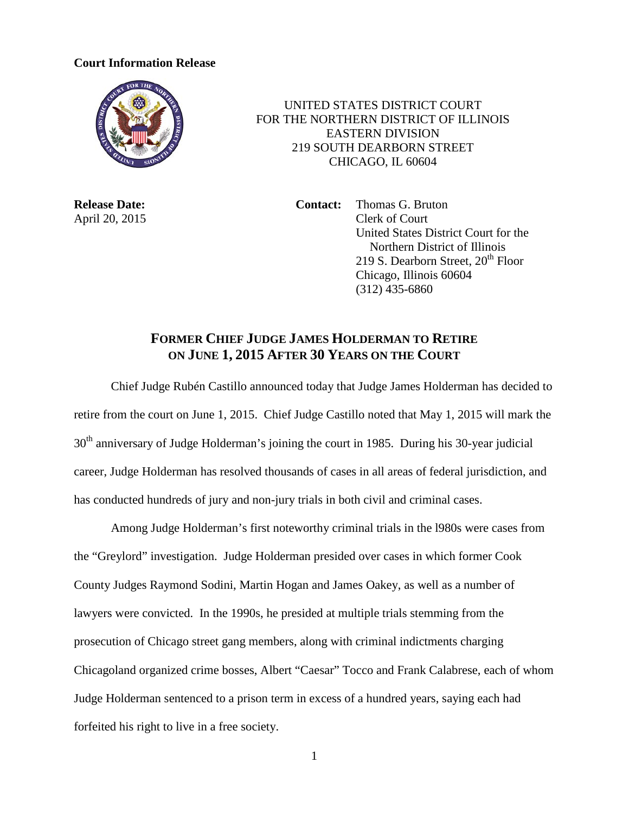## **Court Information Release**



 UNITED STATES DISTRICT COURT FOR THE NORTHERN DISTRICT OF ILLINOIS EASTERN DIVISION 219 SOUTH DEARBORN STREET CHICAGO, IL 60604

**Release Date: Contact:** Thomas G. Bruton April 20, 2015 Clerk of Court United States District Court for the Northern District of Illinois 219 S. Dearborn Street,  $20<sup>th</sup>$  Floor Chicago, Illinois 60604 (312) 435-6860

## **FORMER CHIEF JUDGE JAMES HOLDERMAN TO RETIRE ON JUNE 1, 2015 AFTER 30 YEARS ON THE COURT**

Chief Judge Rubén Castillo announced today that Judge James Holderman has decided to retire from the court on June 1, 2015. Chief Judge Castillo noted that May 1, 2015 will mark the 30<sup>th</sup> anniversary of Judge Holderman's joining the court in 1985. During his 30-year judicial career, Judge Holderman has resolved thousands of cases in all areas of federal jurisdiction, and has conducted hundreds of jury and non-jury trials in both civil and criminal cases.

Among Judge Holderman's first noteworthy criminal trials in the l980s were cases from the "Greylord" investigation. Judge Holderman presided over cases in which former Cook County Judges Raymond Sodini, Martin Hogan and James Oakey, as well as a number of lawyers were convicted. In the 1990s, he presided at multiple trials stemming from the prosecution of Chicago street gang members, along with criminal indictments charging Chicagoland organized crime bosses, Albert "Caesar" Tocco and Frank Calabrese, each of whom Judge Holderman sentenced to a prison term in excess of a hundred years, saying each had forfeited his right to live in a free society.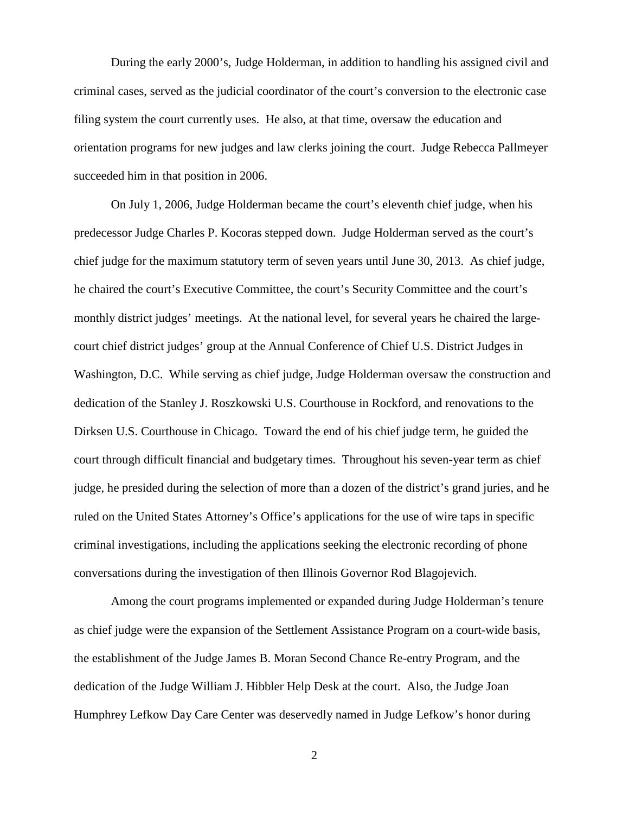During the early 2000's, Judge Holderman, in addition to handling his assigned civil and criminal cases, served as the judicial coordinator of the court's conversion to the electronic case filing system the court currently uses. He also, at that time, oversaw the education and orientation programs for new judges and law clerks joining the court. Judge Rebecca Pallmeyer succeeded him in that position in 2006.

On July 1, 2006, Judge Holderman became the court's eleventh chief judge, when his predecessor Judge Charles P. Kocoras stepped down. Judge Holderman served as the court's chief judge for the maximum statutory term of seven years until June 30, 2013. As chief judge, he chaired the court's Executive Committee, the court's Security Committee and the court's monthly district judges' meetings. At the national level, for several years he chaired the largecourt chief district judges' group at the Annual Conference of Chief U.S. District Judges in Washington, D.C. While serving as chief judge, Judge Holderman oversaw the construction and dedication of the Stanley J. Roszkowski U.S. Courthouse in Rockford, and renovations to the Dirksen U.S. Courthouse in Chicago. Toward the end of his chief judge term, he guided the court through difficult financial and budgetary times. Throughout his seven-year term as chief judge, he presided during the selection of more than a dozen of the district's grand juries, and he ruled on the United States Attorney's Office's applications for the use of wire taps in specific criminal investigations, including the applications seeking the electronic recording of phone conversations during the investigation of then Illinois Governor Rod Blagojevich.

Among the court programs implemented or expanded during Judge Holderman's tenure as chief judge were the expansion of the Settlement Assistance Program on a court-wide basis, the establishment of the Judge James B. Moran Second Chance Re-entry Program, and the dedication of the Judge William J. Hibbler Help Desk at the court. Also, the Judge Joan Humphrey Lefkow Day Care Center was deservedly named in Judge Lefkow's honor during

2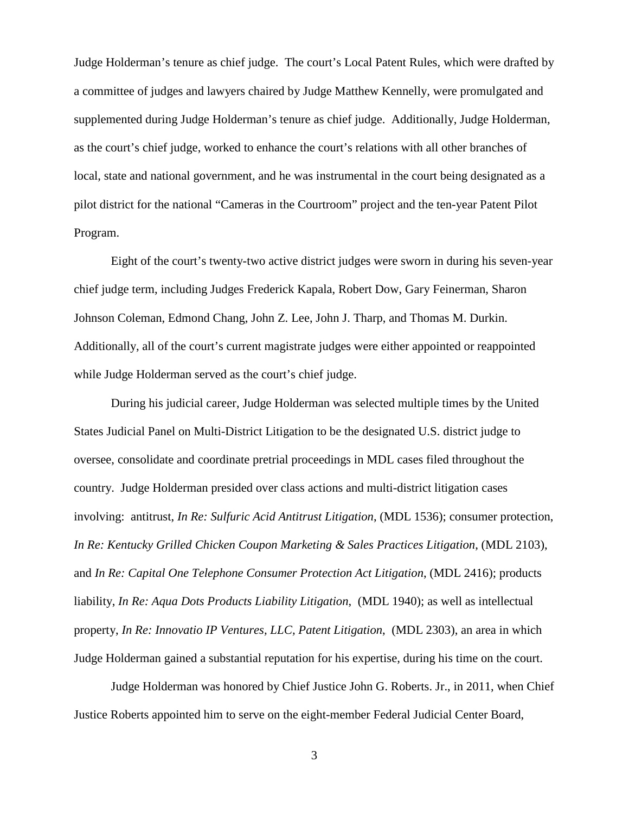Judge Holderman's tenure as chief judge. The court's Local Patent Rules, which were drafted by a committee of judges and lawyers chaired by Judge Matthew Kennelly, were promulgated and supplemented during Judge Holderman's tenure as chief judge. Additionally, Judge Holderman, as the court's chief judge, worked to enhance the court's relations with all other branches of local, state and national government, and he was instrumental in the court being designated as a pilot district for the national "Cameras in the Courtroom" project and the ten-year Patent Pilot Program.

Eight of the court's twenty-two active district judges were sworn in during his seven-year chief judge term, including Judges Frederick Kapala, Robert Dow, Gary Feinerman, Sharon Johnson Coleman, Edmond Chang, John Z. Lee, John J. Tharp, and Thomas M. Durkin. Additionally, all of the court's current magistrate judges were either appointed or reappointed while Judge Holderman served as the court's chief judge.

During his judicial career, Judge Holderman was selected multiple times by the United States Judicial Panel on Multi-District Litigation to be the designated U.S. district judge to oversee, consolidate and coordinate pretrial proceedings in MDL cases filed throughout the country. Judge Holderman presided over class actions and multi-district litigation cases involving: antitrust, *In Re: Sulfuric Acid Antitrust Litigation*, (MDL 1536); consumer protection, *In Re: Kentucky Grilled Chicken Coupon Marketing & Sales Practices Litigation*, (MDL 2103), and *In Re: Capital One Telephone Consumer Protection Act Litigation*, (MDL 2416); products liability, *In Re: Aqua Dots Products Liability Litigation*, (MDL 1940); as well as intellectual property, *In Re: Innovatio IP Ventures, LLC, Patent Litigation*, (MDL 2303), an area in which Judge Holderman gained a substantial reputation for his expertise, during his time on the court.

Judge Holderman was honored by Chief Justice John G. Roberts. Jr., in 2011, when Chief Justice Roberts appointed him to serve on the eight-member Federal Judicial Center Board,

3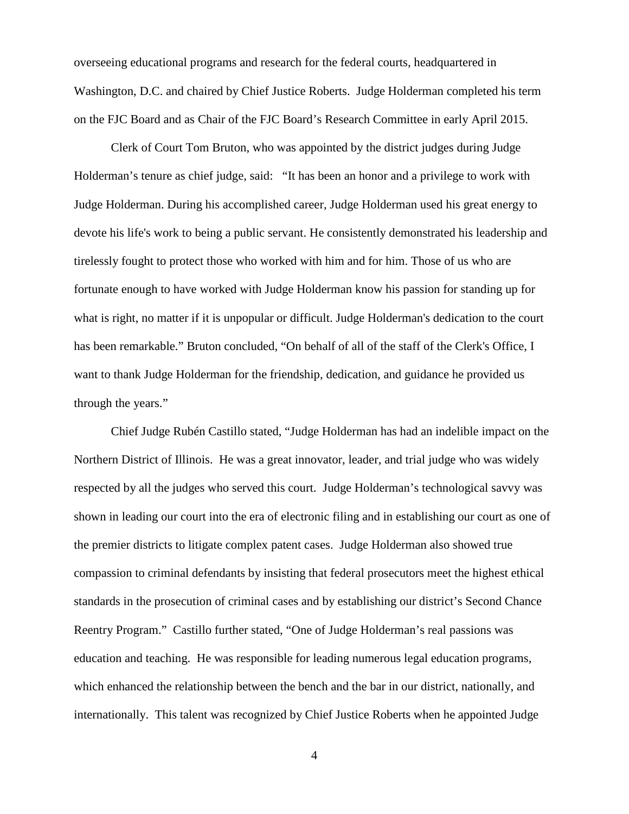overseeing educational programs and research for the federal courts, headquartered in Washington, D.C. and chaired by Chief Justice Roberts. Judge Holderman completed his term on the FJC Board and as Chair of the FJC Board's Research Committee in early April 2015.

Clerk of Court Tom Bruton, who was appointed by the district judges during Judge Holderman's tenure as chief judge, said: "It has been an honor and a privilege to work with Judge Holderman. During his accomplished career, Judge Holderman used his great energy to devote his life's work to being a public servant. He consistently demonstrated his leadership and tirelessly fought to protect those who worked with him and for him. Those of us who are fortunate enough to have worked with Judge Holderman know his passion for standing up for what is right, no matter if it is unpopular or difficult. Judge Holderman's dedication to the court has been remarkable." Bruton concluded, "On behalf of all of the staff of the Clerk's Office, I want to thank Judge Holderman for the friendship, dedication, and guidance he provided us through the years."

Chief Judge Rubén Castillo stated, "Judge Holderman has had an indelible impact on the Northern District of Illinois. He was a great innovator, leader, and trial judge who was widely respected by all the judges who served this court. Judge Holderman's technological savvy was shown in leading our court into the era of electronic filing and in establishing our court as one of the premier districts to litigate complex patent cases. Judge Holderman also showed true compassion to criminal defendants by insisting that federal prosecutors meet the highest ethical standards in the prosecution of criminal cases and by establishing our district's Second Chance Reentry Program." Castillo further stated, "One of Judge Holderman's real passions was education and teaching. He was responsible for leading numerous legal education programs, which enhanced the relationship between the bench and the bar in our district, nationally, and internationally. This talent was recognized by Chief Justice Roberts when he appointed Judge

4